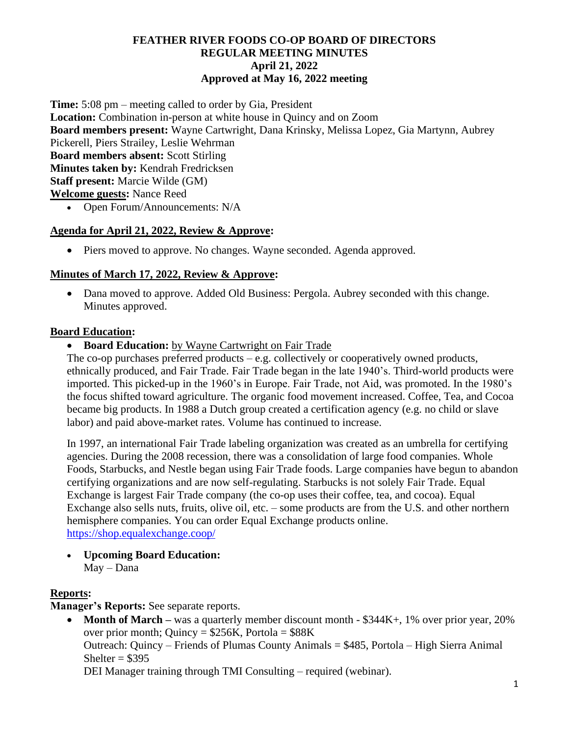### **FEATHER RIVER FOODS CO-OP BOARD OF DIRECTORS REGULAR MEETING MINUTES April 21, 2022 Approved at May 16, 2022 meeting**

**Time:** 5:08 pm – meeting called to order by Gia, President **Location:** Combination in-person at white house in Quincy and on Zoom **Board members present:** Wayne Cartwright, Dana Krinsky, Melissa Lopez, Gia Martynn, Aubrey Pickerell, Piers Strailey, Leslie Wehrman **Board members absent:** Scott Stirling **Minutes taken by:** Kendrah Fredricksen **Staff present:** Marcie Wilde (GM) **Welcome guests:** Nance Reed • Open Forum/Announcements: N/A

#### **Agenda for April 21, 2022, Review & Approve:**

• Piers moved to approve. No changes. Wayne seconded. Agenda approved.

## **Minutes of March 17, 2022, Review & Approve:**

• Dana moved to approve. Added Old Business: Pergola. Aubrey seconded with this change. Minutes approved.

#### **Board Education:**

• **Board Education:** by Wayne Cartwright on Fair Trade

The co-op purchases preferred products – e.g. collectively or cooperatively owned products, ethnically produced, and Fair Trade. Fair Trade began in the late 1940's. Third-world products were imported. This picked-up in the 1960's in Europe. Fair Trade, not Aid, was promoted. In the 1980's the focus shifted toward agriculture. The organic food movement increased. Coffee, Tea, and Cocoa became big products. In 1988 a Dutch group created a certification agency (e.g. no child or slave labor) and paid above-market rates. Volume has continued to increase.

In 1997, an international Fair Trade labeling organization was created as an umbrella for certifying agencies. During the 2008 recession, there was a consolidation of large food companies. Whole Foods, Starbucks, and Nestle began using Fair Trade foods. Large companies have begun to abandon certifying organizations and are now self-regulating. Starbucks is not solely Fair Trade. Equal Exchange is largest Fair Trade company (the co-op uses their coffee, tea, and cocoa). Equal Exchange also sells nuts, fruits, olive oil, etc. – some products are from the U.S. and other northern hemisphere companies. You can order Equal Exchange products online. <https://shop.equalexchange.coop/>

• **Upcoming Board Education:**

May – Dana

#### **Reports:**

**Manager's Reports:** See separate reports.

• **Month of March** – was a quarterly member discount month - \$344K+, 1% over prior year, 20% over prior month; Quincy =  $$256K$ , Portola =  $$88K$ Outreach: Quincy – Friends of Plumas County Animals = \$485, Portola – High Sierra Animal Shelter  $= $395$ DEI Manager training through TMI Consulting – required (webinar).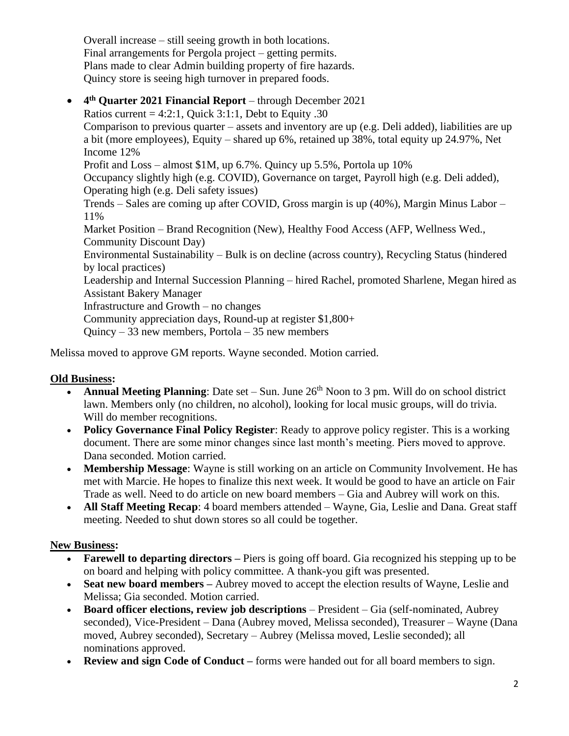Overall increase – still seeing growth in both locations. Final arrangements for Pergola project – getting permits. Plans made to clear Admin building property of fire hazards. Quincy store is seeing high turnover in prepared foods.

• **4 th Quarter 2021 Financial Report** – through December 2021 Ratios current =  $4:2:1$ , Ouick  $3:1:1$ , Debt to Equity .30 Comparison to previous quarter – assets and inventory are up (e.g. Deli added), liabilities are up a bit (more employees), Equity – shared up 6%, retained up 38%, total equity up 24.97%, Net Income 12% Profit and Loss – almost \$1M, up 6.7%. Quincy up 5.5%, Portola up 10% Occupancy slightly high (e.g. COVID), Governance on target, Payroll high (e.g. Deli added), Operating high (e.g. Deli safety issues) Trends – Sales are coming up after COVID, Gross margin is up (40%), Margin Minus Labor – 11% Market Position – Brand Recognition (New), Healthy Food Access (AFP, Wellness Wed., Community Discount Day) Environmental Sustainability – Bulk is on decline (across country), Recycling Status (hindered by local practices) Leadership and Internal Succession Planning – hired Rachel, promoted Sharlene, Megan hired as Assistant Bakery Manager Infrastructure and Growth – no changes Community appreciation days, Round-up at register \$1,800+ Quincy – 33 new members, Portola – 35 new members

Melissa moved to approve GM reports. Wayne seconded. Motion carried.

#### **Old Business:**

- Annual Meeting Planning: Date set Sun. June 26<sup>th</sup> Noon to 3 pm. Will do on school district lawn. Members only (no children, no alcohol), looking for local music groups, will do trivia. Will do member recognitions.
- **Policy Governance Final Policy Register**: Ready to approve policy register. This is a working document. There are some minor changes since last month's meeting. Piers moved to approve. Dana seconded. Motion carried.
- **Membership Message:** Wayne is still working on an article on Community Involvement. He has met with Marcie. He hopes to finalize this next week. It would be good to have an article on Fair Trade as well. Need to do article on new board members – Gia and Aubrey will work on this.
- **All Staff Meeting Recap**: 4 board members attended Wayne, Gia, Leslie and Dana. Great staff meeting. Needed to shut down stores so all could be together.

#### **New Business:**

- **Farewell to departing directors** Piers is going off board. Gia recognized his stepping up to be on board and helping with policy committee. A thank-you gift was presented.
- **Seat new board members** Aubrey moved to accept the election results of Wayne, Leslie and Melissa; Gia seconded. Motion carried.
- **Board officer elections, review job descriptions** President Gia (self-nominated, Aubrey seconded), Vice-President – Dana (Aubrey moved, Melissa seconded), Treasurer – Wayne (Dana moved, Aubrey seconded), Secretary – Aubrey (Melissa moved, Leslie seconded); all nominations approved.
- **Review and sign Code of Conduct** forms were handed out for all board members to sign.